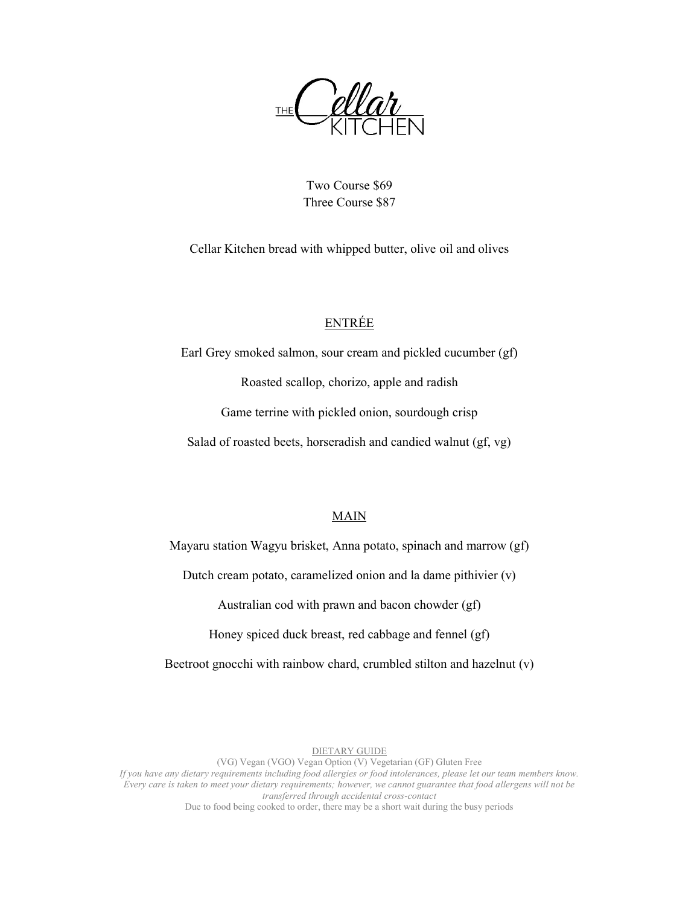**THE** 

Two Course \$69 Three Course \$87

Cellar Kitchen bread with whipped butter, olive oil and olives

# ENTRÉE

Earl Grey smoked salmon, sour cream and pickled cucumber (gf) Roasted scallop, chorizo, apple and radish Game terrine with pickled onion, sourdough crisp Salad of roasted beets, horseradish and candied walnut (gf, vg)

### MAIN

Mayaru station Wagyu brisket, Anna potato, spinach and marrow (gf)

Dutch cream potato, caramelized onion and la dame pithivier (v)

Australian cod with prawn and bacon chowder (gf)

Honey spiced duck breast, red cabbage and fennel (gf)

Beetroot gnocchi with rainbow chard, crumbled stilton and hazelnut (v)

#### DIETARY GUIDE

(VG) Vegan (VGO) Vegan Option (V) Vegetarian (GF) Gluten Free

If you have any dietary requirements including food allergies or food intolerances, please let our team members know. Every care is taken to meet your dietary requirements; however, we cannot guarantee that food allergens will not be transferred through accidental cross-contact

Due to food being cooked to order, there may be a short wait during the busy periods